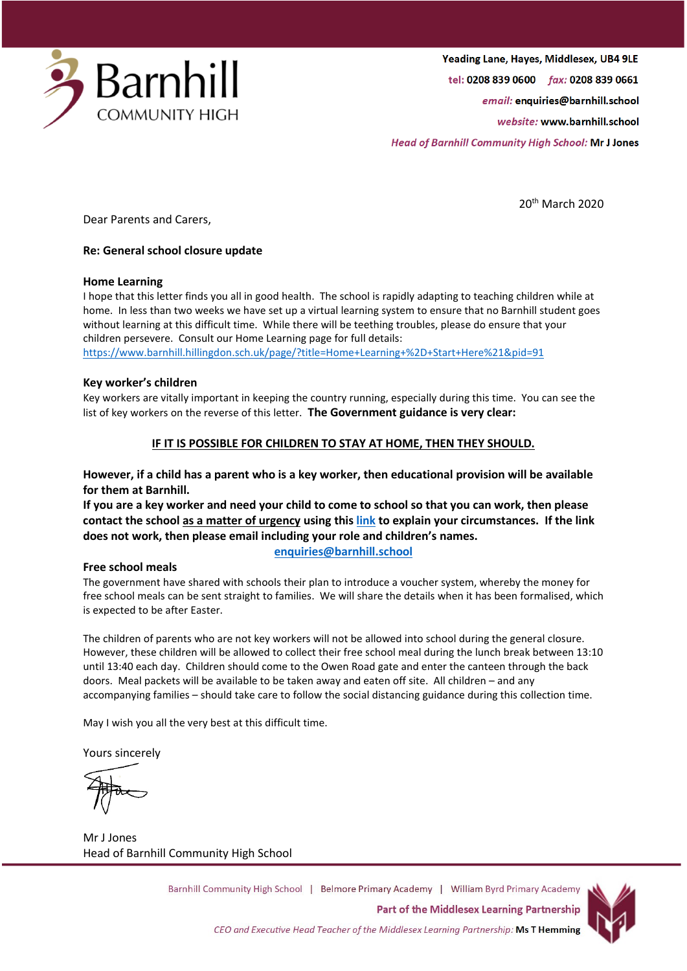

Yeading Lane, Hayes, Middlesex, UB4 9LE tel: 0208 839 0600 fax: 0208 839 0661 email: enquiries@barnhill.school website: www.barnhill.school

**Head of Barnhill Community High School: Mr J Jones** 

20th March 2020

Dear Parents and Carers,

### **Re: General school closure update**

#### **Home Learning**

I hope that this letter finds you all in good health. The school is rapidly adapting to teaching children while at home. In less than two weeks we have set up a virtual learning system to ensure that no Barnhill student goes without learning at this difficult time. While there will be teething troubles, please do ensure that your children persevere. Consult our Home Learning page for full details: <https://www.barnhill.hillingdon.sch.uk/page/?title=Home+Learning+%2D+Start+Here%21&pid=91>

#### **Key worker's children**

Key workers are vitally important in keeping the country running, especially during this time. You can see the list of key workers on the reverse of this letter. **The Government guidance is very clear:**

## **IF IT IS POSSIBLE FOR CHILDREN TO STAY AT HOME, THEN THEY SHOULD.**

## **However, if a child has a parent who is a key worker, then educational provision will be available for them at Barnhill.**

**If you are a key worker and need your child to come to school so that you can work, then please contact the school as a matter of urgency using this [link](https://forms.office.com/Pages/ResponsePage.aspx?id=YIoc9dOgEkeKFtMJOrpkZvvMMp0I5xhLh9sH9Z5T-NhUNkJWNU5VM0pGMEVKWDAxNkQ1RjdYSEMySS4u) to explain your circumstances. If the link does not work, then please email including your role and children's names.**

#### **Free school meals**

**[enquiries@barnhill.school](mailto:enquiries@barnhill.school)**

The government have shared with schools their plan to introduce a voucher system, whereby the money for free school meals can be sent straight to families. We will share the details when it has been formalised, which is expected to be after Easter.

The children of parents who are not key workers will not be allowed into school during the general closure. However, these children will be allowed to collect their free school meal during the lunch break between 13:10 until 13:40 each day. Children should come to the Owen Road gate and enter the canteen through the back doors. Meal packets will be available to be taken away and eaten off site. All children – and any accompanying families – should take care to follow the social distancing guidance during this collection time.

May I wish you all the very best at this difficult time.

Yours sincerely

Mr J Jones Head of Barnhill Community High School

Barnhill Community High School | Belmore Primary Academy | William Byrd Primary Academy **Part of the Middlesex Learning Partnership** CEO and Executive Head Teacher of the Middlesex Learning Partnership: Ms T Hemming